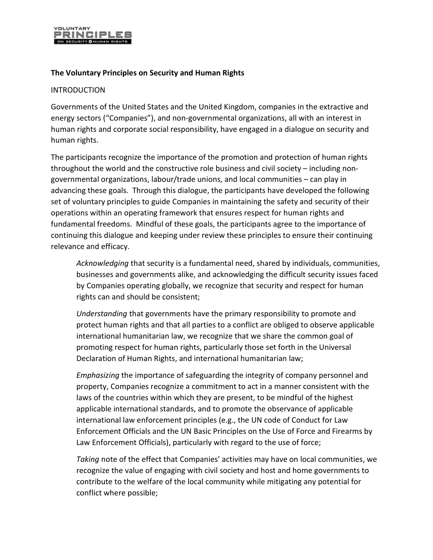

## The Voluntary Principles on Security and Human Rights

## INTRODUCTION

Governments of the United States and the United Kingdom, companies in the extractive and energy sectors ("Companies"), and non-governmental organizations, all with an interest in human rights and corporate social responsibility, have engaged in a dialogue on security and human rights.

The participants recognize the importance of the promotion and protection of human rights throughout the world and the constructive role business and civil society – including nongovernmental organizations, labour/trade unions, and local communities – can play in advancing these goals. Through this dialogue, the participants have developed the following set of voluntary principles to guide Companies in maintaining the safety and security of their operations within an operating framework that ensures respect for human rights and fundamental freedoms. Mindful of these goals, the participants agree to the importance of continuing this dialogue and keeping under review these principles to ensure their continuing relevance and efficacy.

Acknowledging that security is a fundamental need, shared by individuals, communities, businesses and governments alike, and acknowledging the difficult security issues faced by Companies operating globally, we recognize that security and respect for human rights can and should be consistent;

Understanding that governments have the primary responsibility to promote and protect human rights and that all parties to a conflict are obliged to observe applicable international humanitarian law, we recognize that we share the common goal of promoting respect for human rights, particularly those set forth in the Universal Declaration of Human Rights, and international humanitarian law;

Emphasizing the importance of safeguarding the integrity of company personnel and property, Companies recognize a commitment to act in a manner consistent with the laws of the countries within which they are present, to be mindful of the highest applicable international standards, and to promote the observance of applicable international law enforcement principles (e.g., the UN code of Conduct for Law Enforcement Officials and the UN Basic Principles on the Use of Force and Firearms by Law Enforcement Officials), particularly with regard to the use of force;

Taking note of the effect that Companies' activities may have on local communities, we recognize the value of engaging with civil society and host and home governments to contribute to the welfare of the local community while mitigating any potential for conflict where possible;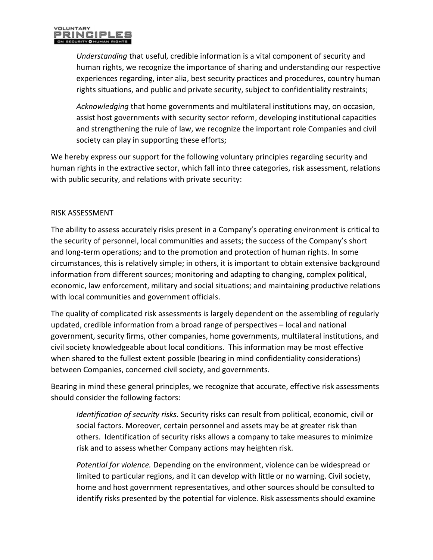Understanding that useful, credible information is a vital component of security and human rights, we recognize the importance of sharing and understanding our respective experiences regarding, inter alia, best security practices and procedures, country human rights situations, and public and private security, subject to confidentiality restraints;

Acknowledging that home governments and multilateral institutions may, on occasion, assist host governments with security sector reform, developing institutional capacities and strengthening the rule of law, we recognize the important role Companies and civil society can play in supporting these efforts;

We hereby express our support for the following voluntary principles regarding security and human rights in the extractive sector, which fall into three categories, risk assessment, relations with public security, and relations with private security:

## RISK ASSESSMENT

The ability to assess accurately risks present in a Company's operating environment is critical to the security of personnel, local communities and assets; the success of the Company's short and long-term operations; and to the promotion and protection of human rights. In some circumstances, this is relatively simple; in others, it is important to obtain extensive background information from different sources; monitoring and adapting to changing, complex political, economic, law enforcement, military and social situations; and maintaining productive relations with local communities and government officials.

The quality of complicated risk assessments is largely dependent on the assembling of regularly updated, credible information from a broad range of perspectives – local and national government, security firms, other companies, home governments, multilateral institutions, and civil society knowledgeable about local conditions. This information may be most effective when shared to the fullest extent possible (bearing in mind confidentiality considerations) between Companies, concerned civil society, and governments.

Bearing in mind these general principles, we recognize that accurate, effective risk assessments should consider the following factors:

Identification of security risks. Security risks can result from political, economic, civil or social factors. Moreover, certain personnel and assets may be at greater risk than others. Identification of security risks allows a company to take measures to minimize risk and to assess whether Company actions may heighten risk.

Potential for violence. Depending on the environment, violence can be widespread or limited to particular regions, and it can develop with little or no warning. Civil society, home and host government representatives, and other sources should be consulted to identify risks presented by the potential for violence. Risk assessments should examine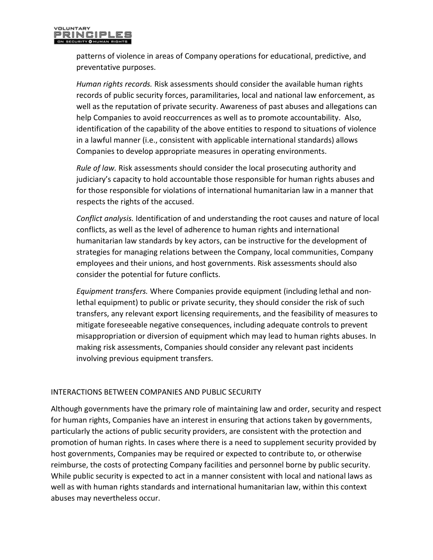patterns of violence in areas of Company operations for educational, predictive, and preventative purposes.

Human rights records. Risk assessments should consider the available human rights records of public security forces, paramilitaries, local and national law enforcement, as well as the reputation of private security. Awareness of past abuses and allegations can help Companies to avoid reoccurrences as well as to promote accountability. Also, identification of the capability of the above entities to respond to situations of violence in a lawful manner (i.e., consistent with applicable international standards) allows Companies to develop appropriate measures in operating environments.

Rule of law. Risk assessments should consider the local prosecuting authority and judiciary's capacity to hold accountable those responsible for human rights abuses and for those responsible for violations of international humanitarian law in a manner that respects the rights of the accused.

Conflict analysis. Identification of and understanding the root causes and nature of local conflicts, as well as the level of adherence to human rights and international humanitarian law standards by key actors, can be instructive for the development of strategies for managing relations between the Company, local communities, Company employees and their unions, and host governments. Risk assessments should also consider the potential for future conflicts.

Equipment transfers. Where Companies provide equipment (including lethal and nonlethal equipment) to public or private security, they should consider the risk of such transfers, any relevant export licensing requirements, and the feasibility of measures to mitigate foreseeable negative consequences, including adequate controls to prevent misappropriation or diversion of equipment which may lead to human rights abuses. In making risk assessments, Companies should consider any relevant past incidents involving previous equipment transfers.

## INTERACTIONS BETWEEN COMPANIES AND PUBLIC SECURITY

Although governments have the primary role of maintaining law and order, security and respect for human rights, Companies have an interest in ensuring that actions taken by governments, particularly the actions of public security providers, are consistent with the protection and promotion of human rights. In cases where there is a need to supplement security provided by host governments, Companies may be required or expected to contribute to, or otherwise reimburse, the costs of protecting Company facilities and personnel borne by public security. While public security is expected to act in a manner consistent with local and national laws as well as with human rights standards and international humanitarian law, within this context abuses may nevertheless occur.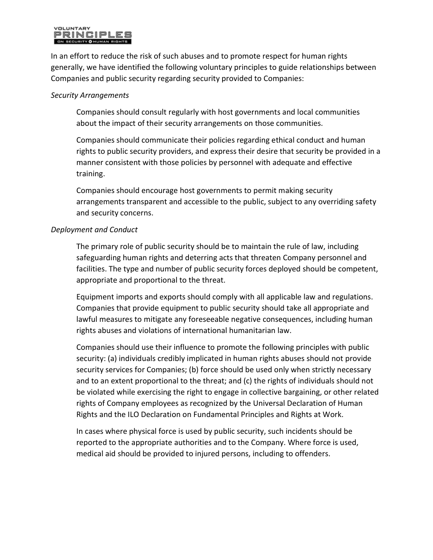In an effort to reduce the risk of such abuses and to promote respect for human rights generally, we have identified the following voluntary principles to guide relationships between Companies and public security regarding security provided to Companies:

## Security Arrangements

Companies should consult regularly with host governments and local communities about the impact of their security arrangements on those communities.

Companies should communicate their policies regarding ethical conduct and human rights to public security providers, and express their desire that security be provided in a manner consistent with those policies by personnel with adequate and effective training.

Companies should encourage host governments to permit making security arrangements transparent and accessible to the public, subject to any overriding safety and security concerns.

# Deployment and Conduct

The primary role of public security should be to maintain the rule of law, including safeguarding human rights and deterring acts that threaten Company personnel and facilities. The type and number of public security forces deployed should be competent, appropriate and proportional to the threat.

Equipment imports and exports should comply with all applicable law and regulations. Companies that provide equipment to public security should take all appropriate and lawful measures to mitigate any foreseeable negative consequences, including human rights abuses and violations of international humanitarian law.

Companies should use their influence to promote the following principles with public security: (a) individuals credibly implicated in human rights abuses should not provide security services for Companies; (b) force should be used only when strictly necessary and to an extent proportional to the threat; and (c) the rights of individuals should not be violated while exercising the right to engage in collective bargaining, or other related rights of Company employees as recognized by the Universal Declaration of Human Rights and the ILO Declaration on Fundamental Principles and Rights at Work.

In cases where physical force is used by public security, such incidents should be reported to the appropriate authorities and to the Company. Where force is used, medical aid should be provided to injured persons, including to offenders.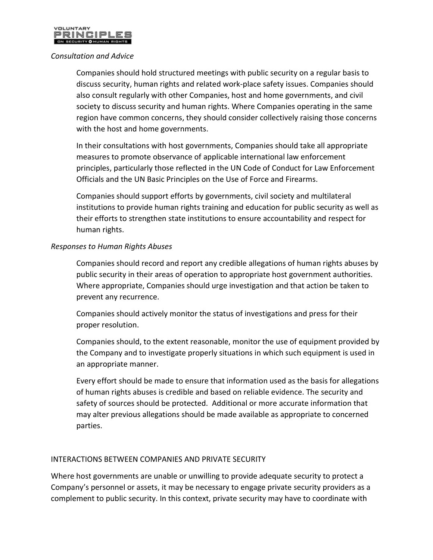

#### Consultation and Advice

Companies should hold structured meetings with public security on a regular basis to discuss security, human rights and related work-place safety issues. Companies should also consult regularly with other Companies, host and home governments, and civil society to discuss security and human rights. Where Companies operating in the same region have common concerns, they should consider collectively raising those concerns with the host and home governments.

In their consultations with host governments, Companies should take all appropriate measures to promote observance of applicable international law enforcement principles, particularly those reflected in the UN Code of Conduct for Law Enforcement Officials and the UN Basic Principles on the Use of Force and Firearms.

Companies should support efforts by governments, civil society and multilateral institutions to provide human rights training and education for public security as well as their efforts to strengthen state institutions to ensure accountability and respect for human rights.

## Responses to Human Rights Abuses

Companies should record and report any credible allegations of human rights abuses by public security in their areas of operation to appropriate host government authorities. Where appropriate, Companies should urge investigation and that action be taken to prevent any recurrence.

Companies should actively monitor the status of investigations and press for their proper resolution.

Companies should, to the extent reasonable, monitor the use of equipment provided by the Company and to investigate properly situations in which such equipment is used in an appropriate manner.

Every effort should be made to ensure that information used as the basis for allegations of human rights abuses is credible and based on reliable evidence. The security and safety of sources should be protected. Additional or more accurate information that may alter previous allegations should be made available as appropriate to concerned parties.

## INTERACTIONS BETWEEN COMPANIES AND PRIVATE SECURITY

Where host governments are unable or unwilling to provide adequate security to protect a Company's personnel or assets, it may be necessary to engage private security providers as a complement to public security. In this context, private security may have to coordinate with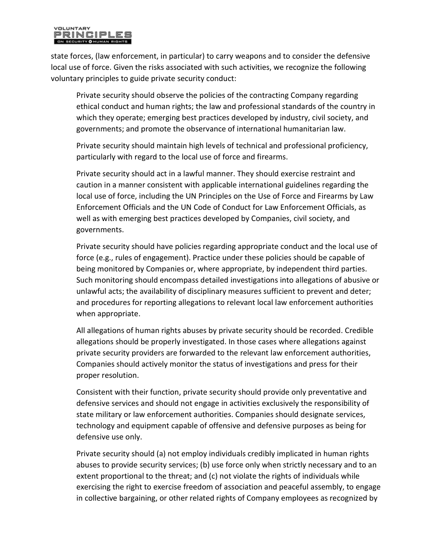state forces, (law enforcement, in particular) to carry weapons and to consider the defensive local use of force. Given the risks associated with such activities, we recognize the following voluntary principles to guide private security conduct:

Private security should observe the policies of the contracting Company regarding ethical conduct and human rights; the law and professional standards of the country in which they operate; emerging best practices developed by industry, civil society, and governments; and promote the observance of international humanitarian law.

Private security should maintain high levels of technical and professional proficiency, particularly with regard to the local use of force and firearms.

Private security should act in a lawful manner. They should exercise restraint and caution in a manner consistent with applicable international guidelines regarding the local use of force, including the UN Principles on the Use of Force and Firearms by Law Enforcement Officials and the UN Code of Conduct for Law Enforcement Officials, as well as with emerging best practices developed by Companies, civil society, and governments.

Private security should have policies regarding appropriate conduct and the local use of force (e.g., rules of engagement). Practice under these policies should be capable of being monitored by Companies or, where appropriate, by independent third parties. Such monitoring should encompass detailed investigations into allegations of abusive or unlawful acts; the availability of disciplinary measures sufficient to prevent and deter; and procedures for reporting allegations to relevant local law enforcement authorities when appropriate.

All allegations of human rights abuses by private security should be recorded. Credible allegations should be properly investigated. In those cases where allegations against private security providers are forwarded to the relevant law enforcement authorities, Companies should actively monitor the status of investigations and press for their proper resolution.

Consistent with their function, private security should provide only preventative and defensive services and should not engage in activities exclusively the responsibility of state military or law enforcement authorities. Companies should designate services, technology and equipment capable of offensive and defensive purposes as being for defensive use only.

Private security should (a) not employ individuals credibly implicated in human rights abuses to provide security services; (b) use force only when strictly necessary and to an extent proportional to the threat; and (c) not violate the rights of individuals while exercising the right to exercise freedom of association and peaceful assembly, to engage in collective bargaining, or other related rights of Company employees as recognized by